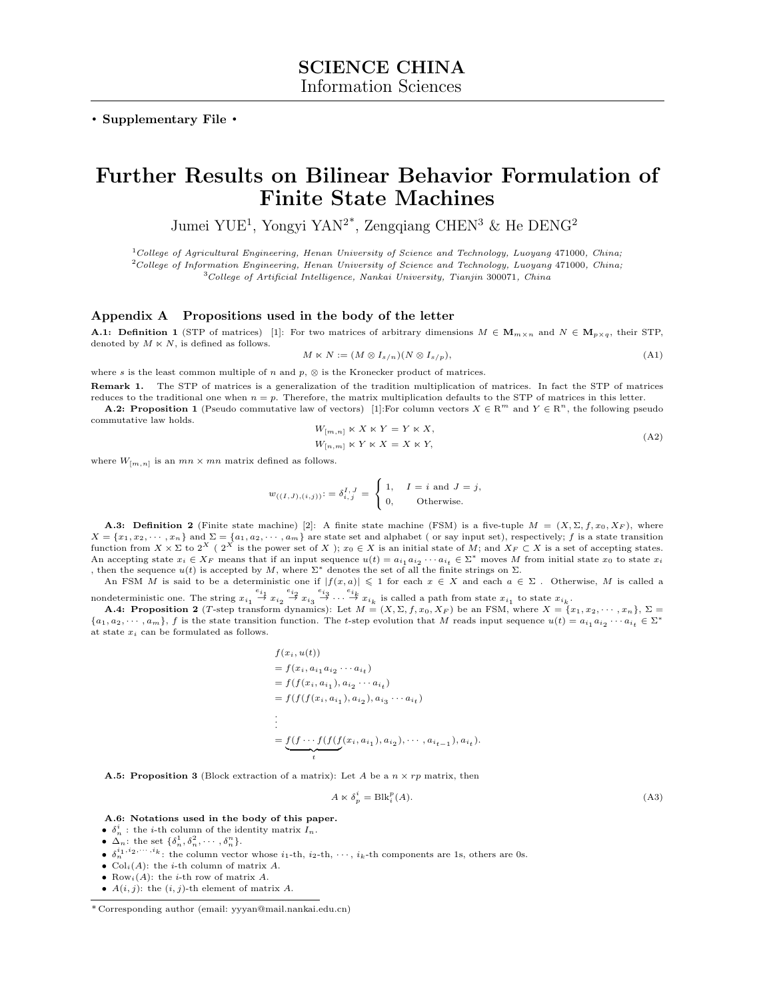**. Supplementary File .**

# **Further Results on Bilinear Behavior Formulation of Finite State Machines**

Jumei YUE<sup>1</sup>, Yongyi YAN<sup>2\*</sup>, Zengqiang CHEN<sup>3</sup> & He DENG<sup>2</sup>

<sup>1</sup>*College of Agricultural Engineering, Henan University of Science and Technology, Luoyang* 471000*, China;* <sup>2</sup>*College of Information Engineering, Henan University of Science and Technology, Luoyang* 471000*, China;*

<sup>3</sup>*College of Artificial Intelligence, Nankai University, Tianjin* 300071*, China*

### **Appendix A Propositions used in the body of the letter**

**A.1: Definition 1** (STP of matrices) [1]: For two matrices of arbitrary dimensions  $M \in \mathbf{M}_{m \times n}$  and  $N \in \mathbf{M}_{p \times q}$ , their STP, denoted by  $M \ltimes N$ , is defined as follows.

$$
M \ltimes N := (M \otimes I_{s/n})(N \otimes I_{s/p}),\tag{A1}
$$

where  $s$  is the least common multiple of  $n$  and  $p$ ,  $\otimes$  is the Kronecker product of matrices. **Remark 1.** The STP of matrices is a generalization of the tradition multiplication of matrices. In fact the STP of matrices

reduces to the traditional one when  $n = p$ . Therefore, the matrix multiplication defaults to the STP of matrices in this letter. **A.2: Proposition 1** (Pseudo commutative law of vectors) [1]:For column vectors  $X \in \mathbb{R}^m$  and  $Y \in \mathbb{R}^n$ , the following pseudo

commutative law holds.  $W_{[m,n]} \ltimes X \ltimes Y = Y \ltimes X$ ,

$$
W_{[n,m]} \ltimes Y \ltimes X = X \ltimes Y,\tag{A2}
$$

where  $W_{[m,n]}$  is an  $mn \times mn$  matrix defined as follows.

 $w_{((I,J),(i,j))}$ : =  $\delta^{I, J}_{i, j}$  =  $\int$  $\mathbf{t}$ 1,  $I = i$  and  $J = j$ , 0, Otherwise.

**A.3: Definition 2** (Finite state machine) [2]: A finite state machine (FSM) is a five-tuple  $M = (X, \Sigma, f, x_0, X_F)$ , where  $X = \{x_1, x_2, \dots, x_n\}$  and  $\Sigma = \{a_1, a_2, \dots, a_m\}$  are state set and alphabet (or say input set), respectively; f is a state transition function from  $X \times \Sigma$  to  $2^X$  (  $2^X$  is the power set of *X* );  $x_0 \in X$  is an initial state of *M*; and  $X_F \subset X$  is a set of accepting states. An accepting state  $x_i \in X_F$  means that if an input sequence  $u(t) = a_{i_1} a_{i_2} \cdots a_{i_t} \in \Sigma^*$  moves M from initial state  $x_0$  to state  $x_i$ , then the sequence  $u(t)$  is accepted by *M*, where  $\Sigma^*$  denotes the set of all the finite strings on  $\Sigma$ .

An FSM *M* is said to be a deterministic one if  $|f(x, a)| \leq 1$  for each  $x \in X$  and each  $a \in \Sigma$ . Otherwise, *M* is called a nondeterministic one. The string  $x_{i_1} \stackrel{e_{i_1}}{\rightarrow} x_{i_2} \stackrel{e_{i_2}}{\rightarrow} x_{i_3} \stackrel{e_{i_3}}{\rightarrow} \cdots \stackrel{e_{i_k}}{\rightarrow} x_{i_k}$  is called a path from state  $x_{i_1}$  to state  $x_{i_k}$ .

**A.4: Proposition 2** (T-step transform dynamics): Let  $M = (X, \Sigma, f, x_0, X_F)$  be an FSM, where  $X = \{x_1, x_2, \dots, x_n\}, \Sigma =$  $\{a_1, a_2, \dots, a_m\}$ , f is the state transition function. The t-step evolution that M reads input sequence  $u(t) = a_{i_1} a_{i_2} \dots a_{i_t} \in \Sigma^*$ at state *x<sup>i</sup>* can be formulated as follows.

$$
f(x_i, u(t))
$$
  
=  $f(x_i, a_{i_1} a_{i_2} \cdots a_{i_t})$   
=  $f(f(x_i, a_{i_1}), a_{i_2} \cdots a_{i_t})$   
=  $f(f(f(x_i, a_{i_1}), a_{i_2}), a_{i_3} \cdots a_{i_t})$   
:  
=  $\underbrace{f(f \cdots f(f(f(x_i, a_{i_1}), a_{i_2}), \cdots, a_{i_{t-1}}), a_{i_t})$ .

**A.5: Proposition 3** (Block extraction of a matrix): Let *A* be a  $n \times rp$  matrix, then

$$
A \ltimes \delta_p^i = \text{Blk}_i^p(A). \tag{A3}
$$

**A.6: Notations used in the body of this paper.**

- $\delta_n^i$ : the *i*-th column of the identity matrix  $I_n$ .
- $\Delta_n$ : the set  $\{\delta_n^1, \delta_n^2, \cdots, \delta_n^n\}$ .
- $\delta_n^{i_1, i_2, \dots, i_k}$ : the column vector whose  $i_1$ -th,  $i_2$ -th,  $\cdots$ ,  $i_k$ -th components are 1s, others are 0s.
- $Col<sub>i</sub>(A)$ : the *i*-th column of matrix *A*.
- *•* Row*i*(*A*): the *i*-th row of matrix *A*.
- $A(i, j)$ : the  $(i, j)$ -th element of matrix  $A$ .

<sup>\*</sup> Corresponding author (email: yyyan@mail.nankai.edu.cn)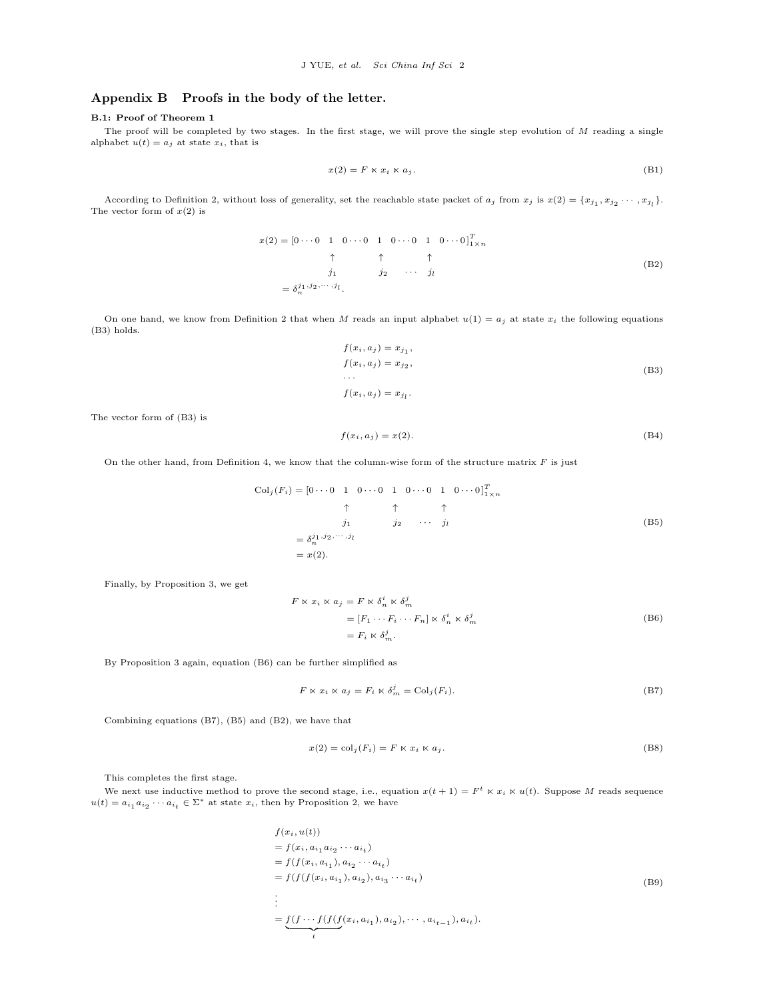## **Appendix B Proofs in the body of the letter.**

#### **B.1: Proof of Theorem 1**

The proof will be completed by two stages. In the first stage, we will prove the single step evolution of *M* reading a single alphabet  $u(t) = a_j$  at state  $x_i$ , that is

$$
x(2) = F \ltimes x_i \ltimes a_j. \tag{B1}
$$

According to Definition 2, without loss of generality, set the reachable state packet of  $a_j$  from  $x_j$  is  $x(2) = \{x_{j_1}, x_{j_2} \cdots, x_{j_l}\}$ . The vector form of *x*(2) is

$$
x(2) = \begin{bmatrix} 0 \cdots 0 & 1 & 0 \cdots 0 & 1 & 0 \cdots 0 & 1 & 0 \cdots 0 \end{bmatrix}_{1 \times n}^T
$$
  
\n
$$
\uparrow \qquad \uparrow \qquad \uparrow
$$
  
\n
$$
j_1 \qquad j_2 \qquad \cdots \qquad j_l
$$
  
\n
$$
= \delta_n^{j_1, j_2, \cdots, j_l}.
$$
 (B2)

On one hand, we know from Definition 2 that when *M* reads an input alphabet  $u(1) = a_j$  at state  $x_i$  the following equations (B3) holds.

$$
f(x_i, a_j) = x_{j_1},
$$
  
\n
$$
f(x_i, a_j) = x_{j_2},
$$
  
\n
$$
\dots
$$
  
\n
$$
f(x_i, a_j) = x_{j_l}.
$$
  
\n(B3)

The vector form of (B3) is

$$
f(x_i, a_j) = x(2). \tag{B4}
$$

On the other hand, from Definition 4, we know that the column-wise form of the structure matrix *F* is just

$$
\begin{aligned}\n\text{Col}_j(F_i) &= \begin{bmatrix} 0 \cdots 0 & 1 & 0 \cdots 0 & 1 & 0 \cdots 0 & 1 & 0 \cdots 0 \end{bmatrix}_{1 \times n}^T \\
&\uparrow \qquad \uparrow \qquad \uparrow \qquad \uparrow \\
&\downarrow j_1 \qquad j_2 \qquad \cdots \qquad j_l \\
&= \delta_j^{j_1, j_2, \cdots, j_l} \\
&= x(2).\n\end{aligned}
$$
\n(B5)

Finally, by Proposition 3, we get

$$
F \ltimes x_i \ltimes a_j = F \ltimes \delta_n^i \ltimes \delta_m^j
$$
  
=  $[F_1 \cdots F_i \cdots F_n] \ltimes \delta_n^i \ltimes \delta_m^j$   
=  $F_i \ltimes \delta_m^j$ . (B6)

By Proposition 3 again, equation (B6) can be further simplified as

$$
F \ltimes x_i \ltimes a_j = F_i \ltimes \delta_m^j = \text{Col}_j(F_i). \tag{B7}
$$

Combining equations (B7), (B5) and (B2), we have that

$$
x(2) = \text{col}_j(F_i) = F \ltimes x_i \ltimes a_j. \tag{B8}
$$

This completes the first stage.

We next use inductive method to prove the second stage, i.e., equation  $x(t + 1) = F^t \times x_i \times u(t)$ . Suppose M reads sequence  $u(t) = a_{i_1} a_{i_2} \cdots a_{i_t} \in \Sigma^*$  at state  $x_i$ , then by Proposition 2, we have

$$
f(x_i, u(t))
$$
  
=  $f(x_i, a_{i_1} a_{i_2} \cdots a_{i_t})$   
=  $f(f(x_i, a_{i_1}), a_{i_2} \cdots a_{i_t})$   
=  $f(f(f(x_i, a_{i_1}), a_{i_2}), a_{i_3} \cdots a_{i_t})$   
:  
=  $f(f \cdots f(f(f(x_i, a_{i_1}), a_{i_2}), \cdots, a_{i_{t-1}}), a_{i_t}).$  (B9)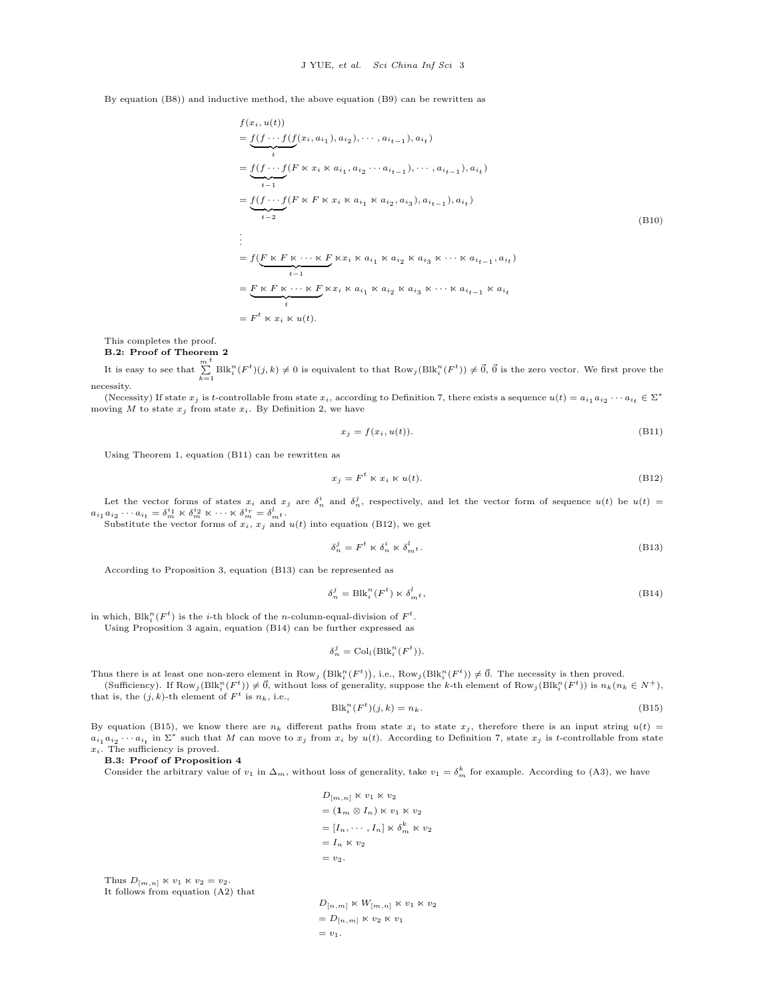By equation (B8)) and inductive method, the above equation (B9) can be rewritten as

$$
f(x_i, u(t))
$$
\n
$$
= \underbrace{f(f \cdots f(f(x_i, a_{i_1}), a_{i_2}), \cdots, a_{i_{t-1}}), a_{i_t})}_{t}
$$
\n
$$
= \underbrace{f(f \cdots f(F \ltimes x_i \ltimes a_{i_1}, a_{i_2} \cdots a_{i_{t-1}}), \cdots, a_{i_{t-1}}), a_{i_t})}_{t-2}
$$
\n
$$
= \underbrace{f(f \cdots f(F \ltimes F \ltimes x_i \ltimes a_{i_1} \ltimes a_{i_2}, a_{i_3}), a_{i_{t-1}}), a_{i_t})}_{t-1}
$$
\n
$$
= f(\underbrace{F \ltimes F \ltimes \cdots \ltimes F}_{t-1} \ltimes x_i \ltimes a_{i_1} \ltimes a_{i_2} \ltimes a_{i_3} \ltimes \cdots \ltimes a_{i_{t-1}}, a_{i_t})
$$
\n
$$
= \underbrace{F \ltimes F \ltimes \cdots \ltimes F}_{t} \ltimes x_i \ltimes a_{i_1} \ltimes a_{i_2} \ltimes a_{i_3} \ltots \cdots \ltimes a_{i_{t-1}} \ltimes a_{i_t}
$$
\n
$$
= F^t \ltimes x_i \ltimes u(t).
$$
\n(B10)

This completes the proof. **B.2: Proof of Theorem 2**

It is easy to see that  $\sum_{k=1}^{m} \text{Blk}_i^n(F^t)(j,k) \neq 0$  is equivalent to that  $\text{Row}_j(\text{Blk}_i^n(F^t)) \neq \vec{0}$ ,  $\vec{0}$  is the zero vector. We first prove the

necessity. (Necessity) If state  $x_j$  is t-controllable from state  $x_i$ , according to Definition 7, there exists a sequence  $u(t) = a_{i_1} a_{i_2} \cdots a_{i_t} \in \Sigma^*$ moving  $M$  to state  $x_j$  from state  $x_i$ . By Definition 2, we have

$$
x_j = f(x_i, u(t)).
$$
\n(B11)

Using Theorem 1, equation (B11) can be rewritten as

$$
x_j = F^t \ltimes x_i \ltimes u(t). \tag{B12}
$$

Let the vector forms of states  $x_i$  and  $x_j$  are  $\delta_n^i$  and  $\delta_n^j$ , respectively, and let the vector form of sequence  $u(t)$  be  $u(t)$  $a_{i_1} a_{i_2} \cdots a_{i_t} = \delta_m^{i_1} \times \delta_m^{i_2} \times \cdots \times \delta_m^{i_r} = \delta_m^{l}$ 

Substitute the vector forms of  $x_i$ ,  $x_j$  and  $u(t)$  into equation (B12), we get

$$
\delta_n^j = F^t \ltimes \delta_n^i \ltimes \delta_{m}^l. \tag{B13}
$$

According to Proposition 3, equation (B13) can be represented as

$$
\delta_n^j = \text{Blk}_i^n(F^t) \ltimes \delta_{m^t}^l,
$$
\n(B14)

in which,  $\text{Blk}_i^n(F^t)$  is the *i*-th block of the *n*-column-equal-division of  $F^t$ .

Using Proposition 3 again, equation (B14) can be further expressed as

$$
\delta_n^j = \text{Col}_l(\text{Blk}_i^n(F^t)).
$$

Thus there is at least one non-zero element in Row<sub>j</sub> (Blk<sub>i</sub><sup>n</sup>( $F$ <sup>t</sup>)), i.e., Row<sub>j</sub>(Blk<sub>i</sub><sup>n</sup>( $F$ <sup>t</sup>))  $\neq$   $\vec{0}$ . The necessity is then proved. (Sufficiency). If  $\text{Row}_j(\text{Blk}_i^n(F^t)) \neq \vec{0}$ , without loss of generality, suppose the k-th element of  $\text{Row}_j(\text{Blk}_i^n(F^t))$  is  $n_k(n_k \in N^+)$ , that is, the  $(j, k)$ -th element of  $F<sup>t</sup>$  is  $n_k$ , i.e.,

$$
\text{Blk}_i^n(F^t)(j,k) = n_k. \tag{B15}
$$

By equation (B15), we know there are  $n_k$  different paths from state  $x_i$  to state  $x_j$ , therefore there is an input string  $u(t)$  =  $a_{i_1}a_{i_2}\cdots a_{i_t}$  in  $\Sigma^*$  such that M can move to  $x_j$  from  $x_i$  by  $u(t)$ . According to Definition 7, state  $x_j$  is t-controllable from state *xi*. The sufficiency is proved.

**B.3: Proof of Proposition 4**

Consider the arbitrary value of  $v_1$  in  $\Delta_m$ , without loss of generality, take  $v_1 = \delta_m^k$  for example. According to (A3), we have

$$
D_{[m,n]} \times v_1 \times v_2
$$
  
=  $(\mathbf{1}_m \otimes I_n) \times v_1 \times v_2$   
=  $[I_n, \dots, I_n] \times \delta_m^k \times v_2$   
=  $I_n \times v_2$   
=  $v_2$ .

Thus  $D_{[m,n]} \ltimes v_1 \ltimes v_2 = v_2$ . It follows from equation (A2) that

 $D_{[n,m]} \ltimes W_{[m,n]} \ltimes v_1 \ltimes v_2$  $= D_{[n,m]} \ltimes v_2 \ltimes v_1$  $= v_1$ .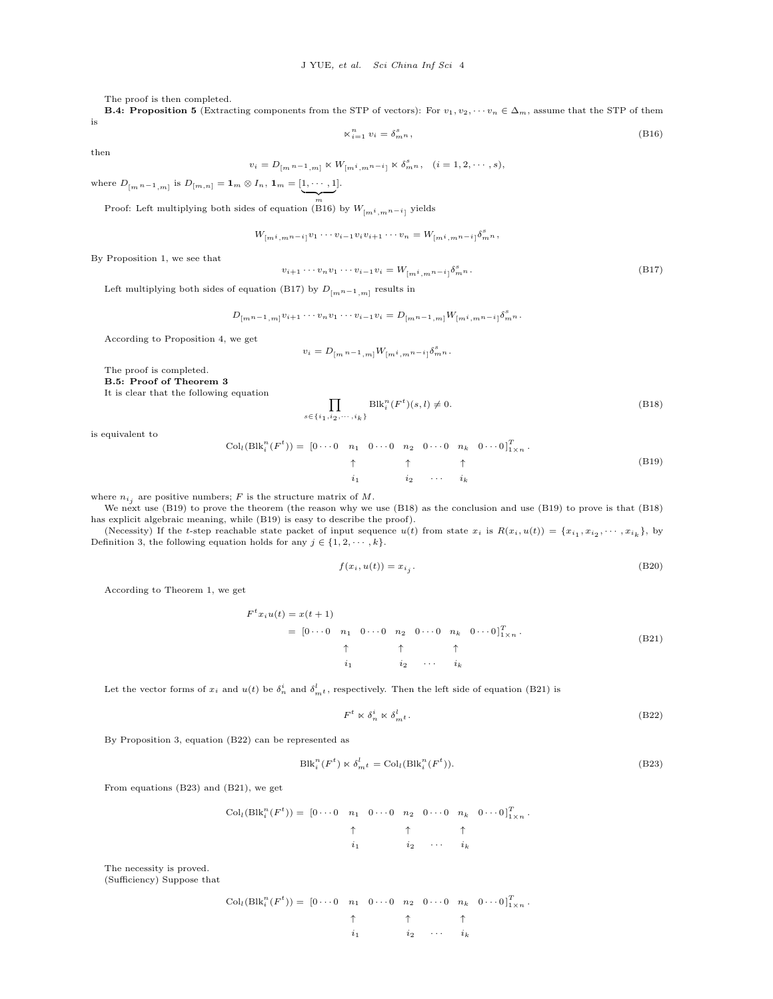The proof is then completed.

**B.4: Proposition 5** (Extracting components from the STP of vectors): For  $v_1, v_2, \cdots v_n \in \Delta_m$ , assume that the STP of them is

$$
\kappa_{i=1}^n v_i = \delta_{m}^s,
$$
\n(B16)

then

 $v_i = D_{[m]n-1,m]} \ltimes W_{[m]i,mn-i} \ltimes \delta^s_{m}n, \quad (i = 1, 2, \cdots, s),$ 

where 
$$
D_{[m n-1, m]}
$$
 is  $D_{[m, n]} = \mathbf{1}_m \otimes I_n$ ,  $\mathbf{1}_m = [\underbrace{1, \cdots, 1}_{m}],$ 

 $\sum_{m}$ <br>Proof: Left multiplying both sides of equation (B16) by  $W_{[m^i, m^{n-i}]}$  yields

$$
W_{[m^{i},m^{n-i}]}v_1\cdots v_{i-1}v_iv_{i+1}\cdots v_n = W_{[m^{i},m^{n-i}]}\delta_{m^{n}}^{s},
$$

By Proposition 1, we see that

$$
v_{i+1} \cdots v_n v_1 \cdots v_{i-1} v_i = W_{[m^i, m^n - i]} \delta_{m^n}^s.
$$
\n(B17)

Left multiplying both sides of equation (B17) by *D*[*mn−*1*,m*] results in

$$
D_{[m^{n-1},m]}v_{i+1}\cdots v_{n}v_{1}\cdots v_{i-1}v_{i}=D_{[m^{n-1},m]}W_{[m^{i},m^{n-i}]}\delta_{m^{n}}^{s}.
$$

According to Proposition 4, we get

$$
v_i = D_{[m n-1, m]} W_{[m i, m n-i]} \delta_{m n}^s.
$$

The proof is completed.

**B.5: Proof of Theorem 3**

It is clear that the following equation

$$
\prod_{s \in \{i_1, i_2, \dots, i_k\}} \text{Blk}_i^n(F^t)(s, l) \neq 0.
$$
\n(B18)

is equivalent to

$$
\text{Col}_{l}(\text{Blk}_{i}^{n}(F^{t})) = \begin{bmatrix} 0 & \cdots & 0 & n_{1} & 0 & \cdots & 0 & n_{2} & 0 & \cdots & 0 & n_{k} & 0 & \cdots & 0 \end{bmatrix}^{T}_{1 \times n}.
$$
\n
$$
\uparrow \qquad \uparrow \qquad \uparrow \qquad \uparrow \qquad \uparrow
$$
\n
$$
i_{1} \qquad \qquad i_{2} \qquad \cdots \qquad i_{k}
$$
\n(B19)

where  $n_{i_j}$  are positive numbers;  $F$  is the structure matrix of  $M$ .

We next use (B19) to prove the theorem (the reason why we use (B18) as the conclusion and use (B19) to prove is that (B18) has explicit algebraic meaning, while (B19) is easy to describe the proof).

(Necessity) If the t-step reachable state packet of input sequence  $u(t)$  from state  $x_i$  is  $R(x_i, u(t)) = \{x_{i_1}, x_{i_2}, \dots, x_{i_k}\}$ , by Definition 3, the following equation holds for any  $j \in \{1, 2, \dots, k\}$ .

$$
f(x_i, u(t)) = x_{i_j}.
$$
\n(B20)

According to Theorem 1, we get

$$
F^{t}x_{i}u(t) = x(t+1)
$$
\n
$$
= [0 \cdots 0 \quad n_{1} \quad 0 \cdots 0 \quad n_{2} \quad 0 \cdots 0 \quad n_{k} \quad 0 \cdots 0]_{1 \times n}^{T}.
$$
\n
$$
\uparrow \qquad \uparrow \qquad \uparrow
$$
\n
$$
i_{1} \qquad i_{2} \qquad \cdots \qquad i_{k}
$$
\n(B21)

Let the vector forms of  $x_i$  and  $u(t)$  be  $\delta_n^i$  and  $\delta_{m}^l$ , respectively. Then the left side of equation (B21) is

$$
F^t \ltimes \delta_n^i \ltimes \delta_{m}^l. \tag{B22}
$$

By Proposition 3, equation (B22) can be represented as

$$
Blk_i^n(F^t) \ltimes \delta_{m^t}^l = Col_l(Blk_i^n(F^t)).
$$
\n(B23)

From equations (B23) and (B21), we get

$$
\operatorname{Col}_{l}(\operatorname{Blk}_{i}^{n}(F^{t})) = \begin{bmatrix} 0 & \cdots & 0 & n_{1} & 0 & \cdots & 0 & n_{2} & 0 & \cdots & 0 & n_{k} & 0 & \cdots & 0 \end{bmatrix}_{1 \times n}^{T}.
$$
\n
$$
\uparrow \qquad \uparrow \qquad \uparrow \qquad \uparrow \qquad \uparrow
$$
\n
$$
i_{1} \qquad \qquad i_{2} \qquad \cdots \qquad i_{k}
$$

The necessity is proved. (Sufficiency) Suppose that

$$
\operatorname{Col}_{l}(\text{Blk}_{i}^{n}(F^{t})) = \begin{bmatrix} 0 & \cdots & 0 & n_{1} & 0 & \cdots & 0 & n_{2} & 0 & \cdots & 0 & n_{k} & 0 & \cdots & 0 \end{bmatrix}_{1 \times n}^{T} \cdot \uparrow \uparrow \uparrow \uparrow \uparrow
$$
  
\n $i_{1} \qquad i_{2} \qquad \cdots \qquad i_{k}$